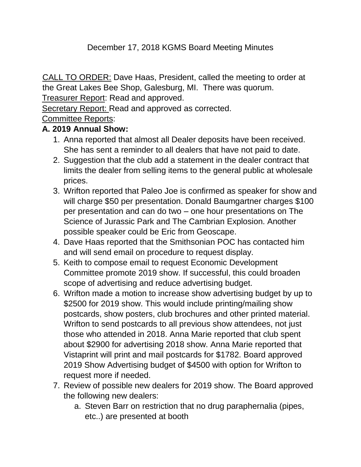# December 17, 2018 KGMS Board Meeting Minutes

CALL TO ORDER: Dave Haas, President, called the meeting to order at the Great Lakes Bee Shop, Galesburg, MI. There was quorum.

Treasurer Report: Read and approved.

Secretary Report: Read and approved as corrected.

Committee Reports:

## **A. 2019 Annual Show:**

- 1. Anna reported that almost all Dealer deposits have been received. She has sent a reminder to all dealers that have not paid to date.
- 2. Suggestion that the club add a statement in the dealer contract that limits the dealer from selling items to the general public at wholesale prices.
- 3. Wrifton reported that Paleo Joe is confirmed as speaker for show and will charge \$50 per presentation. Donald Baumgartner charges \$100 per presentation and can do two – one hour presentations on The Science of Jurassic Park and The Cambrian Explosion. Another possible speaker could be Eric from Geoscape.
- 4. Dave Haas reported that the Smithsonian POC has contacted him and will send email on procedure to request display.
- 5. Keith to compose email to request Economic Development Committee promote 2019 show. If successful, this could broaden scope of advertising and reduce advertising budget.
- 6. Wrifton made a motion to increase show advertising budget by up to \$2500 for 2019 show. This would include printing/mailing show postcards, show posters, club brochures and other printed material. Wrifton to send postcards to all previous show attendees, not just those who attended in 2018. Anna Marie reported that club spent about \$2900 for advertising 2018 show. Anna Marie reported that Vistaprint will print and mail postcards for \$1782. Board approved 2019 Show Advertising budget of \$4500 with option for Wrifton to request more if needed.
- 7. Review of possible new dealers for 2019 show. The Board approved the following new dealers:
	- a. Steven Barr on restriction that no drug paraphernalia (pipes, etc..) are presented at booth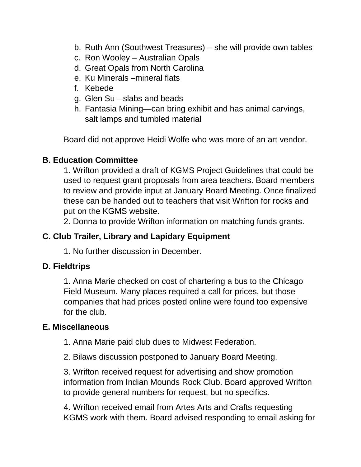- b. Ruth Ann (Southwest Treasures) she will provide own tables
- c. Ron Wooley Australian Opals
- d. Great Opals from North Carolina
- e. Ku Minerals –mineral flats
- f. Kebede
- g. Glen Su—slabs and beads
- h. Fantasia Mining—can bring exhibit and has animal carvings, salt lamps and tumbled material

Board did not approve Heidi Wolfe who was more of an art vendor.

#### **B. Education Committee**

1. Wrifton provided a draft of KGMS Project Guidelines that could be used to request grant proposals from area teachers. Board members to review and provide input at January Board Meeting. Once finalized these can be handed out to teachers that visit Wrifton for rocks and put on the KGMS website.

2. Donna to provide Wrifton information on matching funds grants.

### **C. Club Trailer, Library and Lapidary Equipment**

1. No further discussion in December.

#### **D. Fieldtrips**

1. Anna Marie checked on cost of chartering a bus to the Chicago Field Museum. Many places required a call for prices, but those companies that had prices posted online were found too expensive for the club.

#### **E. Miscellaneous**

1. Anna Marie paid club dues to Midwest Federation.

2. Bilaws discussion postponed to January Board Meeting.

3. Wrifton received request for advertising and show promotion information from Indian Mounds Rock Club. Board approved Wrifton to provide general numbers for request, but no specifics.

4. Wrifton received email from Artes Arts and Crafts requesting KGMS work with them. Board advised responding to email asking for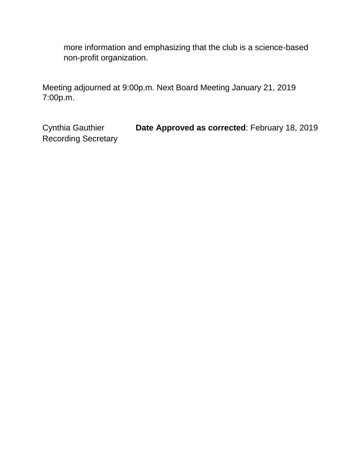more information and emphasizing that the club is a science-based non-profit organization.

Meeting adjourned at 9:00p.m. Next Board Meeting January 21, 2019 7:00p.m.

Cynthia Gauthier **Date Approved as corrected**: February 18, 2019 Recording Secretary